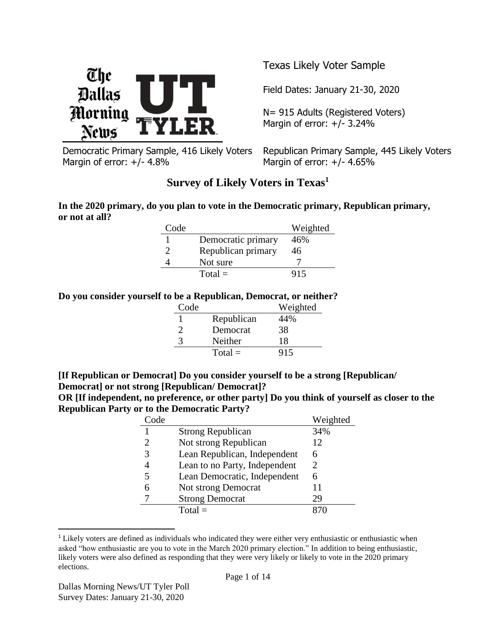

Democratic Primary Sample, 416 Likely Voters Margin of error: +/- 4.8%

Texas Likely Voter Sample

Field Dates: January 21-30, 2020

N= 915 Adults (Registered Voters) Margin of error:  $+/- 3.24%$ 

Republican Primary Sample, 445 Likely Voters Margin of error:  $+/- 4.65%$ 

# **Survey of Likely Voters in Texas<sup>1</sup>**

**In the 2020 primary, do you plan to vote in the Democratic primary, Republican primary, or not at all?**

| Code |                    | Weighted |
|------|--------------------|----------|
|      | Democratic primary | 46%      |
|      | Republican primary | 46       |
|      | Not sure           |          |
|      | $Total =$          | 915      |

#### **Do you consider yourself to be a Republican, Democrat, or neither?**

| Code |            | Weighted |
|------|------------|----------|
|      | Republican | 44%      |
| ႒    | Democrat   | 38       |
| 3    | Neither    | 18       |
|      | $Total =$  | 915      |

**[If Republican or Democrat] Do you consider yourself to be a strong [Republican/ Democrat] or not strong [Republican/ Democrat]?**

**OR [If independent, no preference, or other party] Do you think of yourself as closer to the Republican Party or to the Democratic Party?**

| Code |                               | Weighted |
|------|-------------------------------|----------|
|      | <b>Strong Republican</b>      | 34%      |
|      | Not strong Republican         | 12       |
| 3    | Lean Republican, Independent  | 6        |
|      | Lean to no Party, Independent | 2.       |
| 5    | Lean Democratic, Independent  | 6        |
| 6    | Not strong Democrat           | 11       |
|      | <b>Strong Democrat</b>        | 29       |
|      | Total $=$                     |          |

<sup>&</sup>lt;sup>1</sup> Likely voters are defined as individuals who indicated they were either very enthusiastic or enthusiastic when asked "how enthusiastic are you to vote in the March 2020 primary election." In addition to being enthusiastic, likely voters were also defined as responding that they were very likely or likely to vote in the 2020 primary elections.

 $\overline{a}$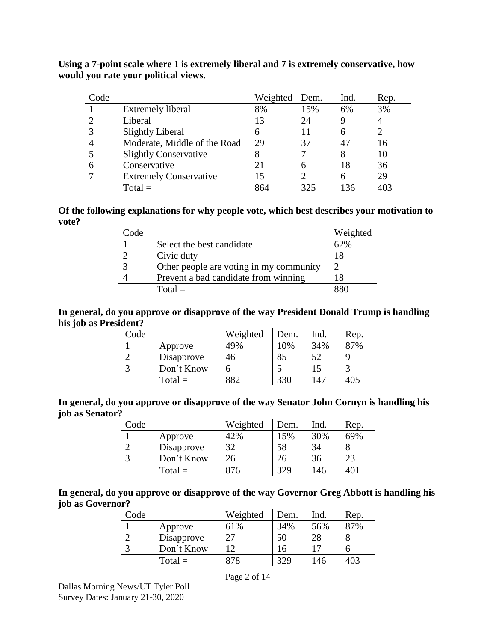| Code |                               | Weighted | Dem. | Ind. | Rep. |
|------|-------------------------------|----------|------|------|------|
|      | <b>Extremely liberal</b>      | 8%       | 15%  | 6%   | 3%   |
|      | Liberal                       | 13       | 24   |      |      |
|      | Slightly Liberal              |          | 11   | 6    |      |
|      | Moderate, Middle of the Road  | 29       | 37   | 4'   | 16   |
|      | <b>Slightly Conservative</b>  |          |      | 8    | 10   |
|      | Conservative                  |          | 6    | 18   | 36   |
|      | <b>Extremely Conservative</b> | 15       |      |      | 29   |
|      | $Total =$                     | 864      | 325  | 136  | 403  |

**Using a 7-point scale where 1 is extremely liberal and 7 is extremely conservative, how would you rate your political views.** 

#### **Of the following explanations for why people vote, which best describes your motivation to vote?**

| $\angle$ ode |                                         | Weighted |
|--------------|-----------------------------------------|----------|
|              | Select the best candidate               | 62%      |
|              | Civic duty                              | 18       |
|              | Other people are voting in my community |          |
|              | Prevent a bad candidate from winning    | 18       |
|              | $Total =$                               | 286      |

### **In general, do you approve or disapprove of the way President Donald Trump is handling his job as President?**

| Code |            | Weighted | Dem. | Ind. | Rep. |
|------|------------|----------|------|------|------|
|      | Approve    | 49%      | 10%  | 34%  | 87%  |
|      | Disapprove | 46       | 85   |      |      |
| 2    | Don't Know |          |      |      |      |
|      | $Total =$  | 882      | 330  | 147  | 405  |

**In general, do you approve or disapprove of the way Senator John Cornyn is handling his job as Senator?**

| Code |            | Weighted | Dem. | Ind. | Rep. |
|------|------------|----------|------|------|------|
|      | Approve    | 42%      | 15%  | 30%  | 69%  |
| ി    | Disapprove | 32       | 58   | 34   |      |
| 2    | Don't Know | 26       | 26   | 36   |      |
|      | $Total =$  | 876      | 329  | 146  |      |

**In general, do you approve or disapprove of the way Governor Greg Abbott is handling his job as Governor?**

| $\text{Code}$ |            | Weighted | Dem. | Ind. | Rep. |
|---------------|------------|----------|------|------|------|
|               | Approve    | 61%      | 34%  | 56%  | 87%  |
|               | Disapprove |          | 50   | 28   |      |
|               | Don't Know |          | 16   |      |      |
|               | $Total =$  | 378      | 329  | 146  | 403  |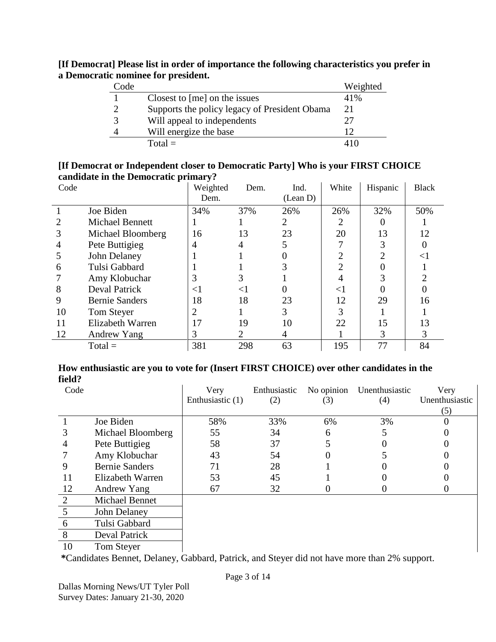### **[If Democrat] Please list in order of importance the following characteristics you prefer in a Democratic nominee for president.**

| Code |                                               | Weighted |
|------|-----------------------------------------------|----------|
|      | Closest to [me] on the issues                 | 41%      |
|      | Supports the policy legacy of President Obama | 21       |
|      | Will appeal to independents                   | 27       |
|      | Will energize the base                        | 12       |
|      | $Total =$                                     |          |

#### **[If Democrat or Independent closer to Democratic Party] Who is your FIRST CHOICE candidate in the Democratic primary?**

| Code |                        | Weighted<br>Dem. | Dem.  | Ind.<br>(Lean D) | White    | Hispanic | <b>Black</b> |
|------|------------------------|------------------|-------|------------------|----------|----------|--------------|
|      | Joe Biden              | 34%              | 37%   | 26%              | 26%      | 32%      | 50%          |
|      | <b>Michael Bennett</b> |                  |       |                  | 2        |          |              |
|      | Michael Bloomberg      | 16               | 13    | 23               | 20       | 13       | 12           |
|      | Pete Buttigieg         | 4                | 4     |                  |          |          |              |
|      | John Delaney           |                  |       |                  |          |          | $\lt$        |
| 6    | Tulsi Gabbard          |                  |       |                  |          |          |              |
|      | Amy Klobuchar          | 3                | 3     |                  |          |          |              |
| 8    | <b>Deval Patrick</b>   | $<$ l            | $<$ 1 |                  | $\leq$ 1 |          |              |
| 9    | <b>Bernie Sanders</b>  | 18               | 18    | 23               | 12       | 29       | 16           |
| 10   | Tom Steyer             | $\overline{2}$   |       | 3                |          |          |              |
| 11   | Elizabeth Warren       | 17               | 19    | 10               | 22       | 15       | 13           |
| 12   | Andrew Yang            | 3                | 2     | 4                |          | 3        | 3            |
|      | $Total =$              | 381              | 298   | 63               | 195      | 77       | 84           |

#### **How enthusiastic are you to vote for (Insert FIRST CHOICE) over other candidates in the field?**

| Code |                       | Very<br>Enthusiastic (1) | Enthusiastic<br>(2) | No opinion<br>(3) | Unenthusiastic<br>(4) | Very<br>Unenthusiastic |
|------|-----------------------|--------------------------|---------------------|-------------------|-----------------------|------------------------|
|      |                       |                          |                     |                   |                       | (5)                    |
|      | Joe Biden             | 58%                      | 33%                 | 6%                | 3%                    |                        |
| 3    | Michael Bloomberg     | 55                       | 34                  | 6                 | 5                     |                        |
|      | Pete Buttigieg        | 58                       | 37                  |                   |                       |                        |
|      | Amy Klobuchar         | 43                       | 54                  | 0                 |                       |                        |
| 9    | <b>Bernie Sanders</b> | 71                       | 28                  |                   |                       |                        |
| 11   | Elizabeth Warren      | 53                       | 45                  |                   |                       |                        |
| 12   | Andrew Yang           | 67                       | 32                  | U                 |                       |                        |
| 2    | <b>Michael Bennet</b> |                          |                     |                   |                       |                        |
| 5    | John Delaney          |                          |                     |                   |                       |                        |
| 6    | Tulsi Gabbard         |                          |                     |                   |                       |                        |
| 8    | Deval Patrick         |                          |                     |                   |                       |                        |
| 10   | Tom Steyer            |                          |                     |                   |                       |                        |

**\***Candidates Bennet, Delaney, Gabbard, Patrick, and Steyer did not have more than 2% support.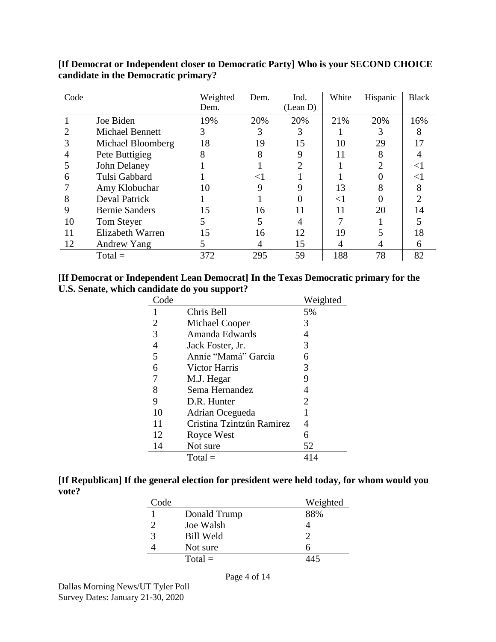| Code |                        | Weighted<br>Dem. | Dem. | Ind.<br>(Lean D) | White | Hispanic | <b>Black</b> |
|------|------------------------|------------------|------|------------------|-------|----------|--------------|
|      |                        |                  |      |                  |       |          |              |
|      | Joe Biden              | 19%              | 20%  | 20%              | 21%   | 20%      | 16%          |
|      | <b>Michael Bennett</b> | 3                |      | 3                |       |          |              |
|      | Michael Bloomberg      | 18               | 19   | 15               | 10    | 29       |              |
|      | Pete Buttigieg         | 8                | 8    | 9                | 11    | 8        |              |
|      | John Delaney           |                  |      |                  |       | າ        | $\lt$        |
| 6    | Tulsi Gabbard          |                  | 91   |                  |       |          | $\leq$       |
|      | Amy Klobuchar          | 10               | 9    |                  | 13    | 8        |              |
| 8    | <b>Deval Patrick</b>   |                  |      |                  | $<$ 1 |          |              |
| 9    | <b>Bernie Sanders</b>  | 15               | 16   | 11               | 11    | 20       | 14           |
| 10   | Tom Steyer             | 5                |      |                  |       |          |              |
| 11   | Elizabeth Warren       | 15               | 16   | 12               | 19    |          | 18           |
| 12   | Andrew Yang            | 5                | 4    | 15               | 4     |          | <sub>0</sub> |
|      | $Total =$              | 372              | 295  | 59               | 188   | 78       | 82           |

## **[If Democrat or Independent closer to Democratic Party] Who is your SECOND CHOICE candidate in the Democratic primary?**

#### **[If Democrat or Independent Lean Democrat] In the Texas Democratic primary for the U.S. Senate, which candidate do you support?**

| Code |                           | Weighted |
|------|---------------------------|----------|
|      | Chris Bell                | 5%       |
| 2    | Michael Cooper            | 3        |
| 3    | Amanda Edwards            | 4        |
| 4    | Jack Foster, Jr.          | 3        |
| 5    | Annie "Mamá" Garcia       | 6        |
| 6    | Victor Harris             | 3        |
| 7    | M.J. Hegar                | 9        |
| 8    | Sema Hernandez            | 4        |
| 9    | D.R. Hunter               | 2        |
| 10   | Adrian Ocegueda           |          |
| 11   | Cristina Tzintzún Ramirez | 4        |
| 12   | Royce West                | 6        |
| 14   | Not sure                  | 52       |
|      | $Total =$                 | 414      |

| [If Republican] If the general election for president were held today, for whom would you |  |
|-------------------------------------------------------------------------------------------|--|
| vote?                                                                                     |  |

| Code |                  | Weighted |
|------|------------------|----------|
|      | Donald Trump     | 88%      |
|      | Joe Walsh        |          |
| 3    | <b>Bill Weld</b> |          |
|      | Not sure         |          |
|      | $Total =$        | 445      |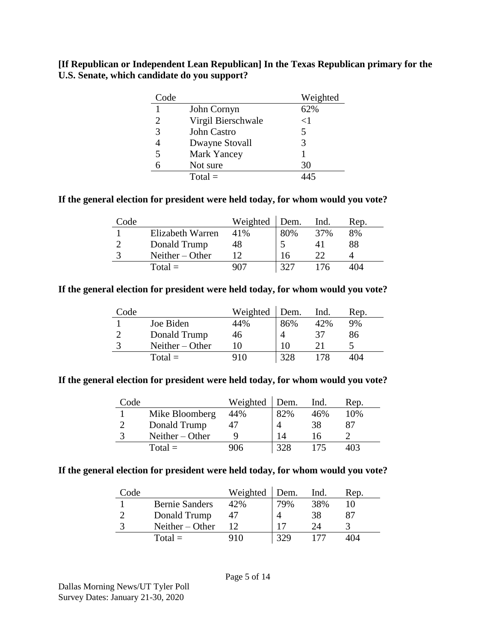#### **[If Republican or Independent Lean Republican] In the Texas Republican primary for the U.S. Senate, which candidate do you support?**

| Code |                    | Weighted |
|------|--------------------|----------|
|      | John Cornyn        | 62%      |
| 2    | Virgil Bierschwale | ${<}1$   |
| 3    | John Castro        | 5        |
|      | Dwayne Stovall     | 3        |
| 5    | <b>Mark Yancey</b> |          |
| 6    | Not sure           | 30       |
|      | $Total =$          | 145      |

#### **If the general election for president were held today, for whom would you vote?**

| Code |                   | Weighted | Dem. | Ind. | Rep. |
|------|-------------------|----------|------|------|------|
|      | Elizabeth Warren  | 41%      | 80%  | 37%  | 8%   |
|      | Donald Trump      | 48       |      |      | 88   |
|      | Neither $-$ Other |          | 16   |      |      |
|      | $Total =$         | 907      | 327  | 176  | 404  |

#### **If the general election for president were held today, for whom would you vote?**

| Code |                   | Weighted | Dem. | Ind. | Rep. |
|------|-------------------|----------|------|------|------|
|      | Joe Biden         | 44%      | 86%  | 42%  | 9%   |
|      | Donald Trump      | 46       |      | 37   | 86   |
|      | Neither $-$ Other |          | 10   |      |      |
|      | $Total =$         | 910      | 328  | 78   | 404  |

#### **If the general election for president were held today, for whom would you vote?**

| Code |                   | Weighted | Dem. | Ind. | Rep. |
|------|-------------------|----------|------|------|------|
|      | Mike Bloomberg    | 44%      | 82%  | 46%  | 10%  |
|      | Donald Trump      |          |      | 38   | 87   |
|      | Neither $-$ Other |          | 14   | 16   |      |
|      | $Total =$         | 906      | 328  | 175  | 103  |

#### **If the general election for president were held today, for whom would you vote?**

| Code |                       | Weighted | Dem. | Ind.   | Rep. |
|------|-----------------------|----------|------|--------|------|
|      | <b>Bernie Sanders</b> | 42%      | 79%  | 38%    |      |
|      | Donald Trump          |          |      | 38     |      |
|      | Neither $-$ Other     |          |      | $2\pi$ |      |
|      | $Total =$             | $-910$   | 329  |        | 404  |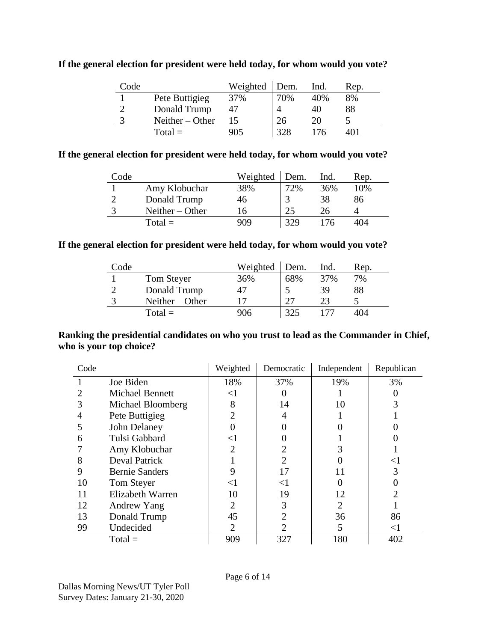| Code |                   | Weighted | Dem. | Ind. | Rep. |
|------|-------------------|----------|------|------|------|
|      | Pete Buttigieg    | 37%      | 70%  | 40%  | 8%   |
|      | Donald Trump      |          |      | 40   | 88   |
|      | Neither $-$ Other |          | 26   | 20   |      |
|      | $Total =$         | 905      | 328  | 176  | 401  |

### **If the general election for president were held today, for whom would you vote?**

### **If the general election for president were held today, for whom would you vote?**

| Code |                   | Weighted | Dem. | Ind. | Rep. |
|------|-------------------|----------|------|------|------|
|      | Amy Klobuchar     | 38%      | 72%  | 36%  | 10%  |
|      | Donald Trump      | 46       |      | 38   | 86   |
|      | Neither $-$ Other | 16       | つち   | 26   |      |
|      | $Total =$         | 909      | 329  | 76   | 404  |

### **If the general election for president were held today, for whom would you vote?**

| Code |                   | Weighted | Dem. | Ind. | Rep. |
|------|-------------------|----------|------|------|------|
|      | Tom Steyer        | 36%      | 68%  | 37%  | 7%   |
|      | Donald Trump      | 47       |      | 39   | 88   |
|      | Neither $-$ Other |          | つつ   | 23   |      |
|      | $Total =$         | 906      | 325  |      | 404  |

### **Ranking the presidential candidates on who you trust to lead as the Commander in Chief, who is your top choice?**

| Code           |                        | Weighted       | Democratic | Independent | Republican |
|----------------|------------------------|----------------|------------|-------------|------------|
|                | Joe Biden              | 18%            | 37%        | 19%         | 3%         |
| 2              | <b>Michael Bennett</b> | $< \! 1$       |            |             |            |
| 3              | Michael Bloomberg      | 8              | 14         | 10          |            |
| $\overline{4}$ | Pete Buttigieg         | $\overline{2}$ | 4          |             |            |
|                | John Delaney           |                |            |             |            |
| 6              | Tulsi Gabbard          | <1             |            |             |            |
|                | Amy Klobuchar          | $\overline{2}$ |            |             |            |
| 8              | <b>Deval Patrick</b>   |                |            |             | <1         |
| 9              | <b>Bernie Sanders</b>  | 9              | 17         |             |            |
| 10             | Tom Steyer             | $\leq$ 1       | $<$ 1      |             |            |
| 11             | Elizabeth Warren       | 10             | 19         | 12          |            |
| 12             | Andrew Yang            | $\overline{2}$ | 3          | 2           |            |
| 13             | Donald Trump           | 45             |            | 36          | 86         |
| 99             | Undecided              | 2              | 2          | 5           | $\leq$ 1   |
|                | $Total =$              | 909            | 327        | 180         | 402        |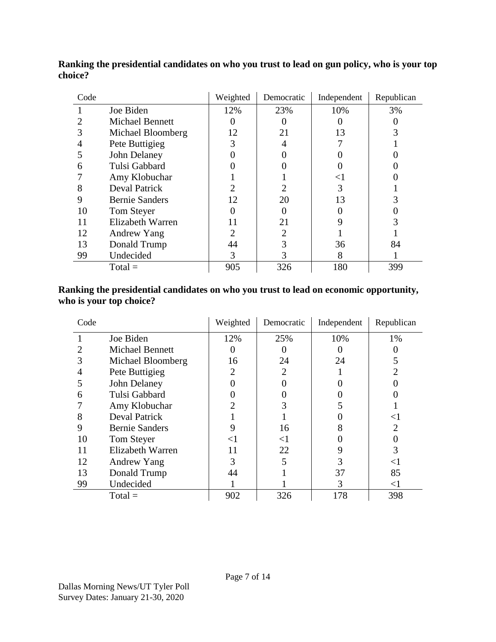| Code |                        | Weighted       | Democratic | Independent | Republican |
|------|------------------------|----------------|------------|-------------|------------|
|      | Joe Biden              | 12%            | 23%        | 10%         | 3%         |
|      | <b>Michael Bennett</b> |                |            |             |            |
|      | Michael Bloomberg      | 12             | 21         | 13          |            |
| 4    | Pete Buttigieg         | 3              | 4          |             |            |
|      | John Delaney           |                |            |             |            |
| 6    | Tulsi Gabbard          |                |            |             |            |
|      | Amy Klobuchar          |                |            | $<$ l       |            |
| 8    | <b>Deval Patrick</b>   | 2              |            | 3           |            |
| 9    | <b>Bernie Sanders</b>  | 12             | 20         | 13          |            |
| 10   | Tom Steyer             |                |            |             |            |
| 11   | Elizabeth Warren       | 11             | 21         |             |            |
| 12   | Andrew Yang            | $\overline{2}$ | 2          |             |            |
| 13   | Donald Trump           | 44             |            | 36          | 84         |
| 99   | Undecided              | 3              |            | 8           |            |
|      | $Total =$              | 905            | 326        | 180         | 399        |

**Ranking the presidential candidates on who you trust to lead on gun policy, who is your top choice?**

### **Ranking the presidential candidates on who you trust to lead on economic opportunity, who is your top choice?**

| Code |                        | Weighted              | Democratic     | Independent | Republican     |
|------|------------------------|-----------------------|----------------|-------------|----------------|
|      | Joe Biden              | 12%                   | 25%            | 10%         | 1%             |
|      | <b>Michael Bennett</b> | $\theta$              |                |             |                |
| 3    | Michael Bloomberg      | 16                    | 24             | 24          |                |
|      | Pete Buttigieg         | $\mathcal{D}_{\cdot}$ | $\mathfrak{D}$ |             |                |
|      | John Delaney           |                       |                |             |                |
| 6    | Tulsi Gabbard          |                       |                |             |                |
|      | Amy Klobuchar          |                       |                |             |                |
| 8    | <b>Deval Patrick</b>   |                       |                |             | $\leq$         |
| 9    | <b>Bernie Sanders</b>  | 9                     | 16             |             | $\mathfrak{D}$ |
| 10   | Tom Steyer             | ${<}1$                | $<$ 1          |             |                |
| 11   | Elizabeth Warren       | 11                    | 22             |             | 3              |
| 12   | Andrew Yang            | 3                     |                |             | $\leq$         |
| 13   | Donald Trump           | 44                    |                | 37          | 85             |
| 99   | Undecided              |                       |                | 3           | $\leq$ 1       |
|      | $Total =$              | 902                   | 326            | 178         | 398            |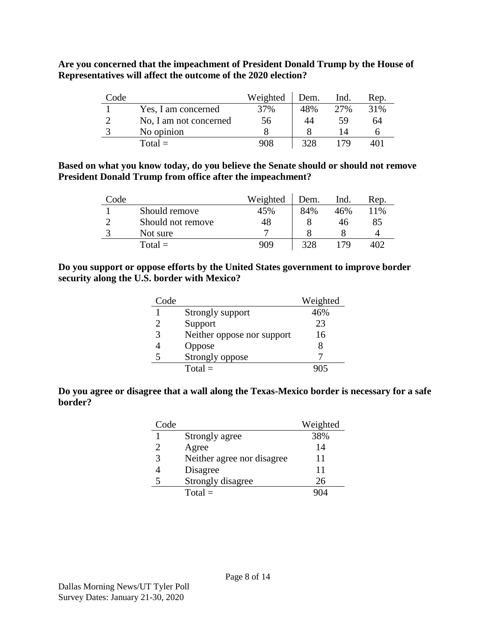**Are you concerned that the impeachment of President Donald Trump by the House of Representatives will affect the outcome of the 2020 election?**

| Code |                        | Weighted | Dem. | Ind. | Rep. |
|------|------------------------|----------|------|------|------|
|      | Yes, I am concerned    | 37%      | 48%  | 2.7% | 31%  |
|      | No, I am not concerned | 56       | 44   | 59   | 64   |
|      | No opinion             |          |      |      |      |
|      | $Total =$              | 908      | 328  | 79   |      |

#### **Based on what you know today, do you believe the Senate should or should not remove President Donald Trump from office after the impeachment?**

| Code |                   | Weighted | Dem. | Ind. | Rep. |
|------|-------------------|----------|------|------|------|
|      | Should remove     | 45%      | 84%  | 46%  | 11%  |
|      | Should not remove | 48       |      | 46   | 85   |
|      | Not sure          |          |      |      |      |
|      | $Total =$         | 909      | 328  | 70   |      |

#### **Do you support or oppose efforts by the United States government to improve border security along the U.S. border with Mexico?**

| Code |                            | Weighted |
|------|----------------------------|----------|
|      | Strongly support           | 46%      |
| 2    | Support                    | 23       |
| 3    | Neither oppose nor support | 16       |
|      | Oppose                     |          |
|      | Strongly oppose            |          |
|      | $Total =$                  |          |

### **Do you agree or disagree that a wall along the Texas-Mexico border is necessary for a safe border?**

| Code |                            | Weighted |
|------|----------------------------|----------|
|      | Strongly agree             | 38%      |
|      | Agree                      | 14       |
| 3    | Neither agree nor disagree | 11       |
|      | Disagree                   | 11       |
|      | Strongly disagree          | 26       |
|      | $Total =$                  |          |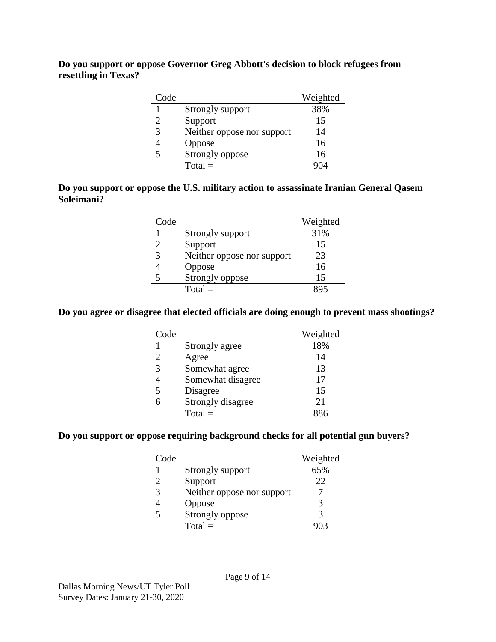**Do you support or oppose Governor Greg Abbott's decision to block refugees from resettling in Texas?**

| Code |                            | Weighted |
|------|----------------------------|----------|
|      | Strongly support           | 38%      |
|      | Support                    | 15       |
| 3    | Neither oppose nor support | 14       |
|      | Oppose                     | 16       |
|      | Strongly oppose            | 16       |
|      | $Total =$                  |          |

### **Do you support or oppose the U.S. military action to assassinate Iranian General Qasem Soleimani?**

| Code |                            | Weighted |
|------|----------------------------|----------|
|      | Strongly support           | 31%      |
|      | Support                    | 15       |
| 3    | Neither oppose nor support | 23       |
|      | Oppose                     | 16       |
|      | Strongly oppose            | 15       |
|      | $Total =$                  |          |

#### **Do you agree or disagree that elected officials are doing enough to prevent mass shootings?**

| Code |                   | Weighted |
|------|-------------------|----------|
|      | Strongly agree    | 18%      |
|      | Agree             | 14       |
| 3    | Somewhat agree    | 13       |
|      | Somewhat disagree | 17       |
| 5    | Disagree          | 15       |
|      | Strongly disagree | 21       |
|      | $Total =$         |          |

#### **Do you support or oppose requiring background checks for all potential gun buyers?**

| Code |                            | Weighted |
|------|----------------------------|----------|
|      | Strongly support           | 65%      |
|      | Support                    | 22       |
| 3    | Neither oppose nor support |          |
|      | Oppose                     |          |
|      | Strongly oppose            |          |
|      | $Total =$                  |          |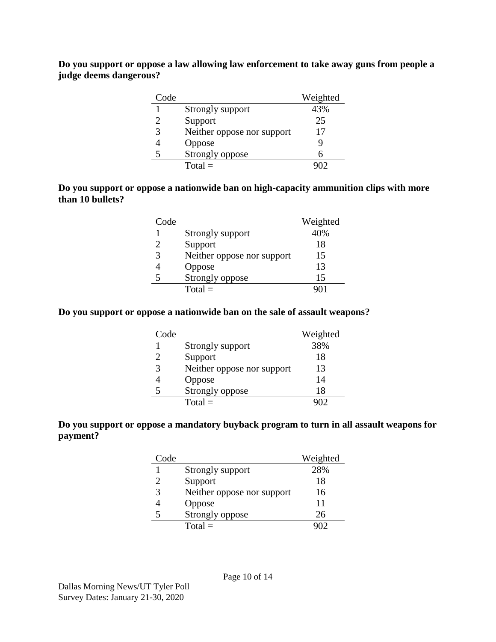**Do you support or oppose a law allowing law enforcement to take away guns from people a judge deems dangerous?**

| Code |                            | Weighted |
|------|----------------------------|----------|
|      | Strongly support           | 43%      |
|      | Support                    | 25       |
|      | Neither oppose nor support | 17       |
|      | Oppose                     | Q        |
|      | Strongly oppose            |          |
|      | $Total =$                  |          |

### **Do you support or oppose a nationwide ban on high-capacity ammunition clips with more than 10 bullets?**

| Code |                            | Weighted |
|------|----------------------------|----------|
|      | Strongly support           | 40%      |
|      | Support                    | 18       |
| 3    | Neither oppose nor support | 15       |
|      | Oppose                     | 13       |
|      | Strongly oppose            | 15       |
|      | $Total =$                  |          |

#### **Do you support or oppose a nationwide ban on the sale of assault weapons?**

| Code |                            | Weighted |
|------|----------------------------|----------|
|      | Strongly support           | 38%      |
|      | Support                    | 18       |
| 3    | Neither oppose nor support | 13       |
|      | Oppose                     | 14       |
|      | Strongly oppose            | 18       |
|      | $Total =$                  |          |

### **Do you support or oppose a mandatory buyback program to turn in all assault weapons for payment?**

| Code |                            | Weighted |
|------|----------------------------|----------|
|      | Strongly support           | 28%      |
|      | Support                    | 18       |
| 3    | Neither oppose nor support | 16       |
|      | Oppose                     | 11       |
|      | Strongly oppose            | 26       |
|      | $Total =$                  |          |

Page 10 of 14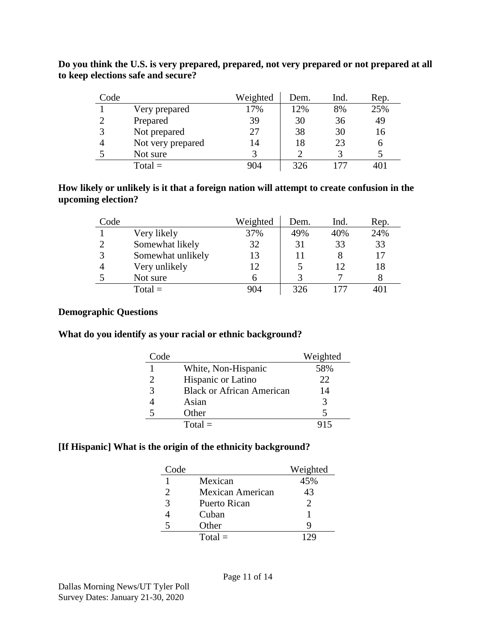| Code |                   | Weighted | Dem. | Ind. | Rep. |
|------|-------------------|----------|------|------|------|
|      | Very prepared     | 17%      | 12%  | 8%   | 25%  |
|      | Prepared          | 39       | 30   | 36   | 49   |
|      | Not prepared      | 27       | 38   | 30   | 16   |
|      | Not very prepared | 14       | 18   | 23   | 6    |
|      | Not sure          |          |      |      |      |
|      | $Total =$         | 904      | 326  |      |      |

**Do you think the U.S. is very prepared, prepared, not very prepared or not prepared at all to keep elections safe and secure?**

### **How likely or unlikely is it that a foreign nation will attempt to create confusion in the upcoming election?**

| Code          |                   | Weighted | Dem. | Ind. | Rep. |
|---------------|-------------------|----------|------|------|------|
|               | Very likely       | 37%      | 49%  | 40%  | 24%  |
| ∍             | Somewhat likely   | 32       | 31   | 33   | 33   |
| $\mathcal{R}$ | Somewhat unlikely | 13       | 11   |      | 17   |
|               | Very unlikely     | 12       |      | 12   | 18   |
|               | Not sure          |          |      |      |      |
|               | $Total =$         | 904      | 326  |      |      |

#### **Demographic Questions**

#### **What do you identify as your racial or ethnic background?**

| Code                        |                                  | Weighted |
|-----------------------------|----------------------------------|----------|
|                             | White, Non-Hispanic              | 58%      |
| $\mathcal{D}_{\mathcal{L}}$ | Hispanic or Latino               | 22       |
| 3                           | <b>Black or African American</b> | 14       |
|                             | Asian                            |          |
|                             | Other                            |          |
|                             | $Total =$                        |          |

## **[If Hispanic] What is the origin of the ethnicity background?**

| Code                  |                         | Weighted              |
|-----------------------|-------------------------|-----------------------|
|                       | Mexican                 | 45%                   |
| $\mathcal{D}_{\cdot}$ | <b>Mexican American</b> | 43                    |
| 3                     | Puerto Rican            | $\mathcal{D}_{\cdot}$ |
|                       | Cuban                   |                       |
|                       | Other                   |                       |
|                       | $Total =$               |                       |

Page 11 of 14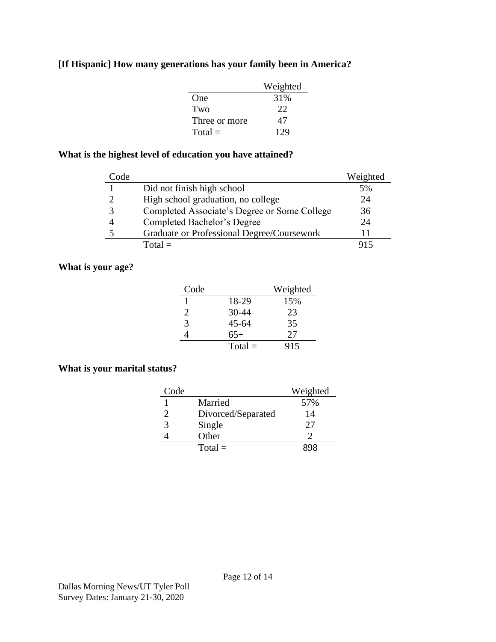## **[If Hispanic] How many generations has your family been in America?**

|               | Weighted |
|---------------|----------|
| One           | 31%      |
| Two           | 22       |
| Three or more | 47       |
| $Total =$     | 129      |

## **What is the highest level of education you have attained?**

| Code |                                              | Weighted |
|------|----------------------------------------------|----------|
|      | Did not finish high school                   | 5%       |
|      | High school graduation, no college           | 24       |
|      | Completed Associate's Degree or Some College | 36       |
|      | Completed Bachelor's Degree                  | 24       |
|      | Graduate or Professional Degree/Coursework   |          |
|      | $Total =$                                    |          |

### **What is your age?**

| Code |           | Weighted |
|------|-----------|----------|
|      | 18-29     | 15%      |
| 2    | 30-44     | 23       |
| 3    | $45 - 64$ | 35       |
|      | $65+$     | 27       |
|      | $Total =$ | 915      |

### **What is your marital status?**

| Code |                    | Weighted |
|------|--------------------|----------|
|      | Married            | 57%      |
|      | Divorced/Separated | 14       |
| 3    | Single             | 27       |
|      | Other              |          |
|      | $Total =$          |          |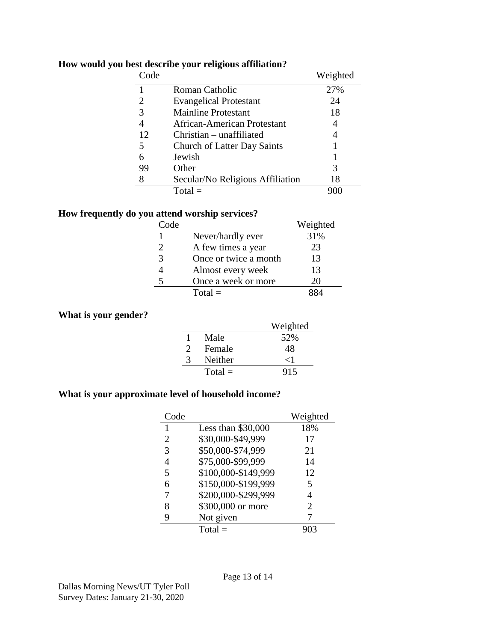| Code |                                    | Weighted |
|------|------------------------------------|----------|
|      | Roman Catholic                     | 27%      |
| 2    | <b>Evangelical Protestant</b>      | 24       |
| 3    | <b>Mainline Protestant</b>         | 18       |
|      | African-American Protestant        | 4        |
| 12   | $Christian - unaffiliated$         |          |
| 5    | <b>Church of Latter Day Saints</b> |          |
| 6    | Jewish                             |          |
| 99   | Other                              | 3        |
| 8    | Secular/No Religious Affiliation   | 18       |
|      | $Total =$                          |          |

## **How would you best describe your religious affiliation?**

## **How frequently do you attend worship services?**

| Code |                       | Weighted |
|------|-----------------------|----------|
|      | Never/hardly ever     | 31%      |
| 2    | A few times a year    | 23       |
| 3    | Once or twice a month | 13       |
| 4    | Almost every week     | 13       |
| 5    | Once a week or more   | 20       |
|      | $Total =$             |          |

### **What is your gender?**

|          |           | Weighted                     |
|----------|-----------|------------------------------|
|          | Male      | 52%                          |
| $\gamma$ | Female    | 48                           |
| 2        | Neither   | $\langle \, \cdot \, \rvert$ |
|          | $Total =$ | 915                          |

## **What is your approximate level of household income?**

| Code |                     | Weighted |
|------|---------------------|----------|
| 1    | Less than \$30,000  | 18%      |
| 2    | \$30,000-\$49,999   | 17       |
| 3    | \$50,000-\$74,999   | 21       |
| 4    | \$75,000-\$99,999   | 14       |
| 5    | \$100,000-\$149,999 | 12       |
| 6    | \$150,000-\$199,999 | 5        |
| 7    | \$200,000-\$299,999 |          |
| 8    | \$300,000 or more   | 2        |
| 9    | Not given           |          |
|      | $Total =$           |          |